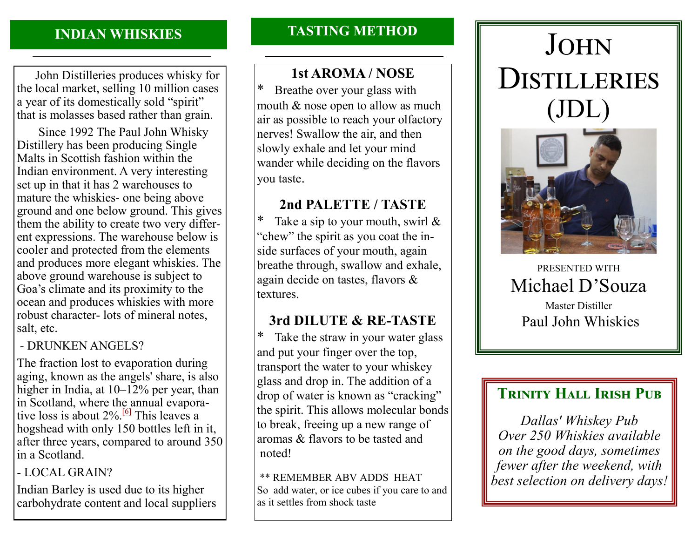# **INDIAN WHISKIES**

 John Distilleries produces whisky for the local market, selling 10 million cases a year of its domestically sold "spirit" that is molasses based rather than grain.

 Since 1992 The Paul John Whisky Distillery has been producing Single Malts in Scottish fashion within the Indian environment. A very interesting set up in that it has 2 warehouses to mature the whiskies- one being above ground and one below ground. This gives them the ability to create two very different expressions. The warehouse below is cooler and protected from the elements and produces more elegant whiskies. The above ground warehouse is subject to Goa's climate and its proximity to the ocean and produces whiskies with more robust character- lots of mineral notes, salt, etc.

### - DRUNKEN ANGELS?

The fraction lost to evaporation during aging, known as the angels' share, is also higher in India, at 10–12% per year, than in Scotland, where the annual evaporative loss is about  $2\%$ .<sup>[\[6\]](https://en.wikipedia.org/wiki/Paul_John_(whisky)#cite_note-6)</sup> This leaves a hogshead with only 150 bottles left in it, after three years, compared to around 350 in a Scotland.

- LOCAL GRAIN?

Indian Barley is used due to its higher carbohydrate content and local suppliers

## **TASTING METHOD**

## **1st AROMA / NOSE**

Breathe over your glass with mouth & nose open to allow as much air as possible to reach your olfactory nerves! Swallow the air, and then slowly exhale and let your mind wander while deciding on the flavors you taste.

# **2nd PALETTE / TASTE**

\* Take a sip to your mouth, swirl  $&$ "chew" the spirit as you coat the inside surfaces of your mouth, again breathe through, swallow and exhale, again decide on tastes, flavors & textures.

# **3rd DILUTE & RE-TASTE**

\* Take the straw in your water glass and put your finger over the top, transport the water to your whiskey glass and drop in. The addition of a drop of water is known as "cracking" the spirit. This allows molecular bonds to break, freeing up a new range of aromas & flavors to be tasted and noted!

\*\* REMEMBER ABV ADDS HEAT So add water, or ice cubes if you care to and as it settles from shock taste

# John **DISTILLERIES** (JDL)



PRESENTED WITH Michael D'Souza Master Distiller Paul John Whiskies

# **TRINITY HALL IRISH PUB**

*Dallas' Whiskey Pub Over 250 Whiskies available on the good days, sometimes fewer after the weekend, with best selection on delivery days!*